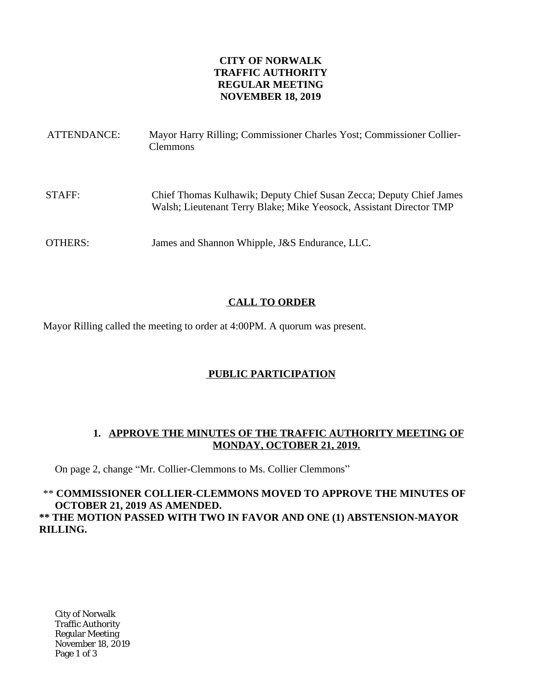### **CITY OF NORWALK TRAFFIC AUTHORITY REGULAR MEETING NOVEMBER 18, 2019**

| ATTENDANCE:    | Mayor Harry Rilling; Commissioner Charles Yost; Commissioner Collier-<br><b>Clemmons</b>                                                   |
|----------------|--------------------------------------------------------------------------------------------------------------------------------------------|
| STAFF:         | Chief Thomas Kulhawik; Deputy Chief Susan Zecca; Deputy Chief James<br>Walsh; Lieutenant Terry Blake; Mike Yeosock, Assistant Director TMP |
| <b>OTHERS:</b> | James and Shannon Whipple, J&S Endurance, LLC.                                                                                             |

# **CALL TO ORDER**

Mayor Rilling called the meeting to order at 4:00PM. A quorum was present.

# **PUBLIC PARTICIPATION**

### **1. APPROVE THE MINUTES OF THE TRAFFIC AUTHORITY MEETING OF MONDAY, OCTOBER 21, 2019.**

On page 2, change "Mr. Collier-Clemmons to Ms. Collier Clemmons"

\*\* **COMMISSIONER COLLIER-CLEMMONS MOVED TO APPROVE THE MINUTES OF OCTOBER 21, 2019 AS AMENDED. \*\* THE MOTION PASSED WITH TWO IN FAVOR AND ONE (1) ABSTENSION-MAYOR RILLING.**

City of Norwalk Traffic Authority Regular Meeting November 18, 2019 Page 1 of 3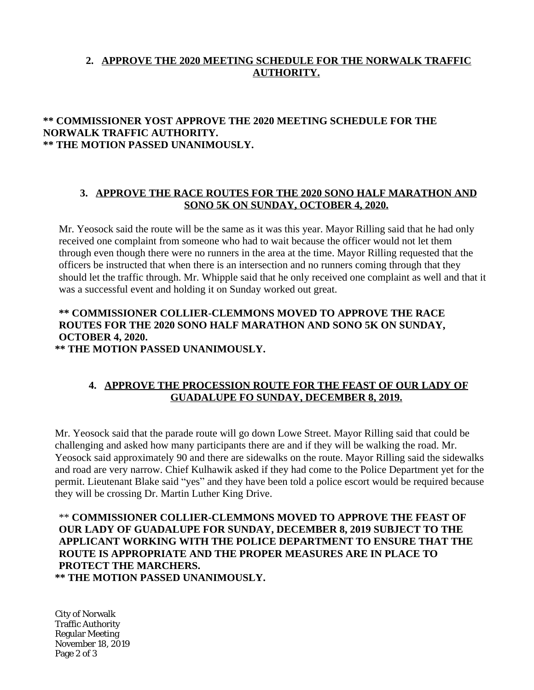# **2. APPROVE THE 2020 MEETING SCHEDULE FOR THE NORWALK TRAFFIC AUTHORITY.**

## **\*\* COMMISSIONER YOST APPROVE THE 2020 MEETING SCHEDULE FOR THE NORWALK TRAFFIC AUTHORITY. \*\* THE MOTION PASSED UNANIMOUSLY.**

#### **3. APPROVE THE RACE ROUTES FOR THE 2020 SONO HALF MARATHON AND SONO 5K ON SUNDAY, OCTOBER 4, 2020.**

Mr. Yeosock said the route will be the same as it was this year. Mayor Rilling said that he had only received one complaint from someone who had to wait because the officer would not let them through even though there were no runners in the area at the time. Mayor Rilling requested that the officers be instructed that when there is an intersection and no runners coming through that they should let the traffic through. Mr. Whipple said that he only received one complaint as well and that it was a successful event and holding it on Sunday worked out great.

# **\*\* COMMISSIONER COLLIER-CLEMMONS MOVED TO APPROVE THE RACE ROUTES FOR THE 2020 SONO HALF MARATHON AND SONO 5K ON SUNDAY, OCTOBER 4, 2020.**

**\*\* THE MOTION PASSED UNANIMOUSLY.**

#### **4. APPROVE THE PROCESSION ROUTE FOR THE FEAST OF OUR LADY OF GUADALUPE FO SUNDAY, DECEMBER 8, 2019.**

Mr. Yeosock said that the parade route will go down Lowe Street. Mayor Rilling said that could be challenging and asked how many participants there are and if they will be walking the road. Mr. Yeosock said approximately 90 and there are sidewalks on the route. Mayor Rilling said the sidewalks and road are very narrow. Chief Kulhawik asked if they had come to the Police Department yet for the permit. Lieutenant Blake said "yes" and they have been told a police escort would be required because they will be crossing Dr. Martin Luther King Drive.

#### \*\* **COMMISSIONER COLLIER-CLEMMONS MOVED TO APPROVE THE FEAST OF OUR LADY OF GUADALUPE FOR SUNDAY, DECEMBER 8, 2019 SUBJECT TO THE APPLICANT WORKING WITH THE POLICE DEPARTMENT TO ENSURE THAT THE ROUTE IS APPROPRIATE AND THE PROPER MEASURES ARE IN PLACE TO PROTECT THE MARCHERS. \*\* THE MOTION PASSED UNANIMOUSLY.**

City of Norwalk Traffic Authority Regular Meeting November 18, 2019 Page 2 of 3